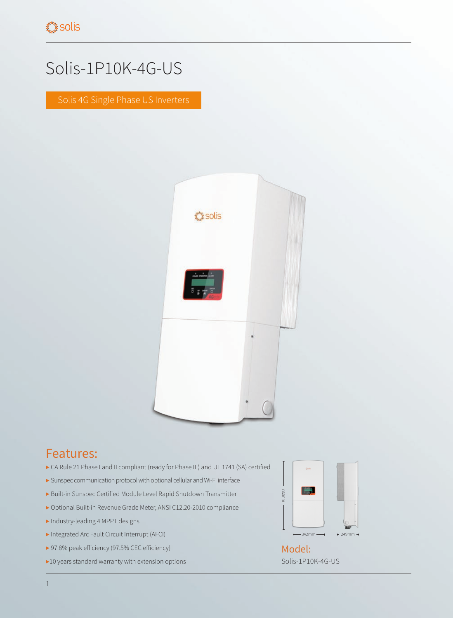## Solis-1P10K-4G-US

Solis 4G Single Phase US Inverters



## Features:

- ▶ CA Rule 21 Phase I and II compliant (ready for Phase III) and UL 1741 (SA) certified
- ▶ Sunspec communication protocol with optional cellular and Wi-Fi interface
- ▶ Built-in Sunspec Certified Module Level Rapid Shutdown Transmitter
- ▶ Optional Built-in Revenue Grade Meter, ANSI C12.20-2010 compliance
- ▶ Industry-leading 4 MPPT designs
- ▶ Integrated Arc Fault Circuit Interrupt (AFCI)
- ▶ 97.8% peak efficiency (97.5% CEC efficiency)
- ▶10 years standard warranty with extension options



Solis-1P10K-4G-US Model: